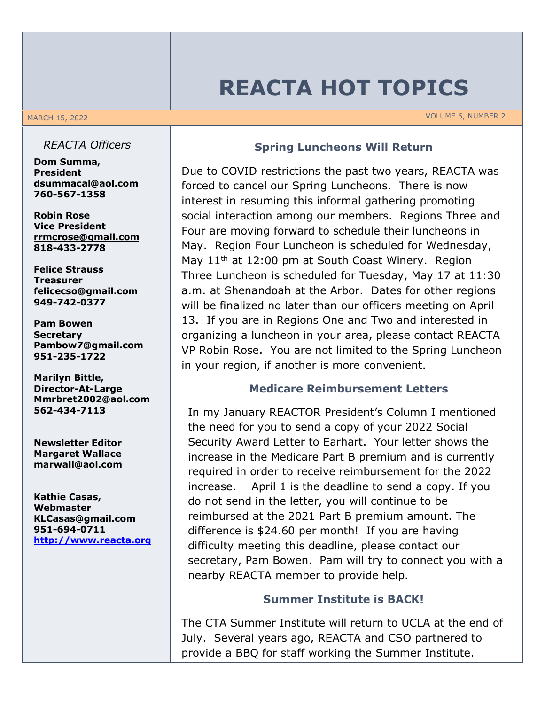# **REACTA HOT TOPICS**

MARCH 15, 2022 **VOLUME 6, NUMBER 2** 

#### *REACTA Officers*

**Dom Summa, President dsummacal@aol.com 760-567-1358**

**Robin Rose Vice President rrmcrose@gmail.com 818-433-2778**

**Felice Strauss Treasurer felicecso@gmail.com 949-742-0377**

**Pam Bowen Secretary Pambow7@gmail.com 951-235-1722**

**Marilyn Bittle, Director-At-Large Mmrbret2002@aol.com 562-434-7113**

**Newsletter Editor Margaret Wallace marwall@aol.com**

**Kathie Casas, Webmaster KLCasas@gmail.com 951-694-0711 http://www.reacta.org**

#### **Spring Luncheons Will Return**

Due to COVID restrictions the past two years, REACTA was forced to cancel our Spring Luncheons. There is now interest in resuming this informal gathering promoting social interaction among our members. Regions Three and Four are moving forward to schedule their luncheons in May. Region Four Luncheon is scheduled for Wednesday, May  $11<sup>th</sup>$  at 12:00 pm at South Coast Winery. Region Three Luncheon is scheduled for Tuesday, May 17 at 11:30 a.m. at Shenandoah at the Arbor. Dates for other regions will be finalized no later than our officers meeting on April 13. If you are in Regions One and Two and interested in organizing a luncheon in your area, please contact REACTA VP Robin Rose. You are not limited to the Spring Luncheon in your region, if another is more convenient.

#### **Medicare Reimbursement Letters**

In my January REACTOR President's Column I mentioned the need for you to send a copy of your 2022 Social Security Award Letter to Earhart. Your letter shows the increase in the Medicare Part B premium and is currently required in order to receive reimbursement for the 2022 increase. April 1 is the deadline to send a copy. If you do not send in the letter, you will continue to be reimbursed at the 2021 Part B premium amount. The difference is \$24.60 per month! If you are having difficulty meeting this deadline, please contact our secretary, Pam Bowen. Pam will try to connect you with a nearby REACTA member to provide help.

### **Summer Institute is BACK!**

The CTA Summer Institute will return to UCLA at the end of July. Several years ago, REACTA and CSO partnered to provide a BBQ for staff working the Summer Institute.